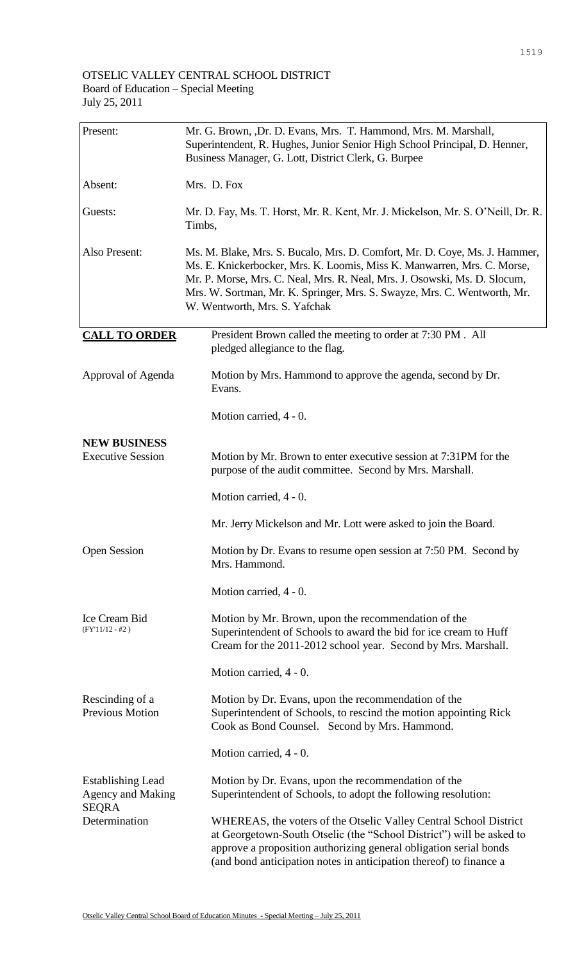| Present:                                                             | Mr. G. Brown, ,Dr. D. Evans, Mrs. T. Hammond, Mrs. M. Marshall,<br>Superintendent, R. Hughes, Junior Senior High School Principal, D. Henner,<br>Business Manager, G. Lott, District Clerk, G. Burpee                                                                                                                                           |
|----------------------------------------------------------------------|-------------------------------------------------------------------------------------------------------------------------------------------------------------------------------------------------------------------------------------------------------------------------------------------------------------------------------------------------|
| Absent:                                                              | Mrs. D. Fox                                                                                                                                                                                                                                                                                                                                     |
| Guests:                                                              | Mr. D. Fay, Ms. T. Horst, Mr. R. Kent, Mr. J. Mickelson, Mr. S. O'Neill, Dr. R.<br>Timbs,                                                                                                                                                                                                                                                       |
| Also Present:                                                        | Ms. M. Blake, Mrs. S. Bucalo, Mrs. D. Comfort, Mr. D. Coye, Ms. J. Hammer,<br>Ms. E. Knickerbocker, Mrs. K. Loomis, Miss K. Manwarren, Mrs. C. Morse,<br>Mr. P. Morse, Mrs. C. Neal, Mrs. R. Neal, Mrs. J. Osowski, Ms. D. Slocum,<br>Mrs. W. Sortman, Mr. K. Springer, Mrs. S. Swayze, Mrs. C. Wentworth, Mr.<br>W. Wentworth, Mrs. S. Yafchak |
| <b>CALL TO ORDER</b>                                                 | President Brown called the meeting to order at 7:30 PM . All<br>pledged allegiance to the flag.                                                                                                                                                                                                                                                 |
| Approval of Agenda                                                   | Motion by Mrs. Hammond to approve the agenda, second by Dr.<br>Evans.                                                                                                                                                                                                                                                                           |
|                                                                      | Motion carried, 4 - 0.                                                                                                                                                                                                                                                                                                                          |
| <b>NEW BUSINESS</b><br><b>Executive Session</b>                      | Motion by Mr. Brown to enter executive session at 7:31PM for the<br>purpose of the audit committee. Second by Mrs. Marshall.                                                                                                                                                                                                                    |
|                                                                      | Motion carried, 4 - 0.                                                                                                                                                                                                                                                                                                                          |
|                                                                      | Mr. Jerry Mickelson and Mr. Lott were asked to join the Board.                                                                                                                                                                                                                                                                                  |
| <b>Open Session</b>                                                  | Motion by Dr. Evans to resume open session at 7:50 PM. Second by<br>Mrs. Hammond.                                                                                                                                                                                                                                                               |
|                                                                      | Motion carried, 4 - 0.                                                                                                                                                                                                                                                                                                                          |
| Ice Cream Bid<br>$(FY'11/12 - #2)$                                   | Motion by Mr. Brown, upon the recommendation of the<br>Superintendent of Schools to award the bid for ice cream to Huff<br>Cream for the 2011-2012 school year. Second by Mrs. Marshall.                                                                                                                                                        |
|                                                                      | Motion carried, 4 - 0.                                                                                                                                                                                                                                                                                                                          |
| Rescinding of a<br>Previous Motion                                   | Motion by Dr. Evans, upon the recommendation of the<br>Superintendent of Schools, to rescind the motion appointing Rick<br>Cook as Bond Counsel. Second by Mrs. Hammond.                                                                                                                                                                        |
|                                                                      | Motion carried, 4 - 0.                                                                                                                                                                                                                                                                                                                          |
| <b>Establishing Lead</b><br><b>Agency and Making</b><br><b>SEQRA</b> | Motion by Dr. Evans, upon the recommendation of the<br>Superintendent of Schools, to adopt the following resolution:                                                                                                                                                                                                                            |
| Determination                                                        | WHEREAS, the voters of the Otselic Valley Central School District<br>at Georgetown-South Otselic (the "School District") will be asked to<br>approve a proposition authorizing general obligation serial bonds                                                                                                                                  |

(and bond anticipation notes in anticipation thereof) to finance a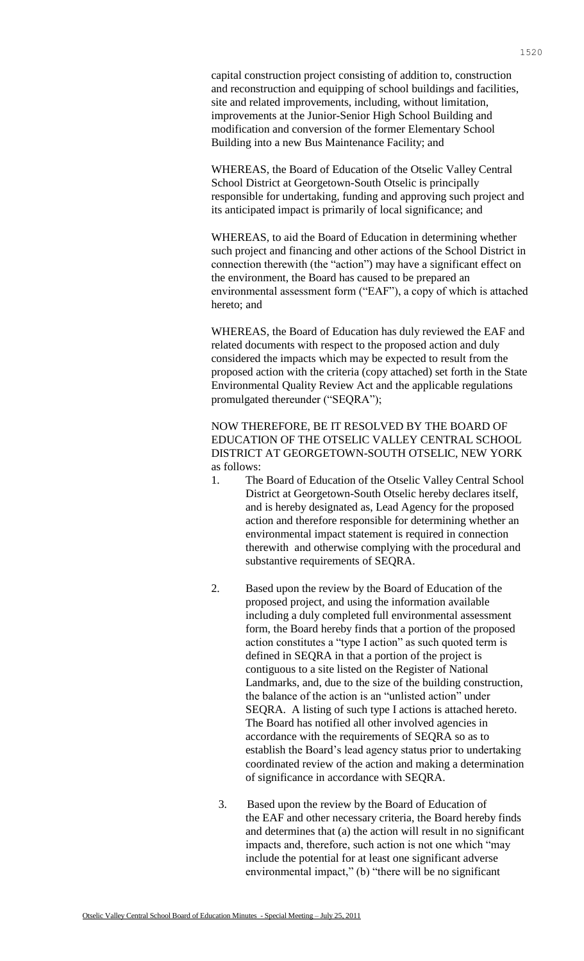capital construction project consisting of addition to, construction and reconstruction and equipping of school buildings and facilities, site and related improvements, including, without limitation, improvements at the Junior-Senior High School Building and modification and conversion of the former Elementary School Building into a new Bus Maintenance Facility; and

WHEREAS, the Board of Education of the Otselic Valley Central School District at Georgetown-South Otselic is principally responsible for undertaking, funding and approving such project and its anticipated impact is primarily of local significance; and

WHEREAS, to aid the Board of Education in determining whether such project and financing and other actions of the School District in connection therewith (the "action") may have a significant effect on the environment, the Board has caused to be prepared an environmental assessment form ("EAF"), a copy of which is attached hereto; and

WHEREAS, the Board of Education has duly reviewed the EAF and related documents with respect to the proposed action and duly considered the impacts which may be expected to result from the proposed action with the criteria (copy attached) set forth in the State Environmental Quality Review Act and the applicable regulations promulgated thereunder ("SEQRA");

NOW THEREFORE, BE IT RESOLVED BY THE BOARD OF EDUCATION OF THE OTSELIC VALLEY CENTRAL SCHOOL DISTRICT AT GEORGETOWN-SOUTH OTSELIC, NEW YORK as follows:

- 1. The Board of Education of the Otselic Valley Central School District at Georgetown-South Otselic hereby declares itself, and is hereby designated as, Lead Agency for the proposed action and therefore responsible for determining whether an environmental impact statement is required in connection therewith and otherwise complying with the procedural and substantive requirements of SEQRA.
- 2. Based upon the review by the Board of Education of the proposed project, and using the information available including a duly completed full environmental assessment form, the Board hereby finds that a portion of the proposed action constitutes a "type I action" as such quoted term is defined in SEQRA in that a portion of the project is contiguous to a site listed on the Register of National Landmarks, and, due to the size of the building construction, the balance of the action is an "unlisted action" under SEQRA. A listing of such type I actions is attached hereto. The Board has notified all other involved agencies in accordance with the requirements of SEQRA so as to establish the Board's lead agency status prior to undertaking coordinated review of the action and making a determination of significance in accordance with SEQRA.
	- 3. Based upon the review by the Board of Education of the EAF and other necessary criteria, the Board hereby finds and determines that (a) the action will result in no significant impacts and, therefore, such action is not one which "may include the potential for at least one significant adverse environmental impact," (b) "there will be no significant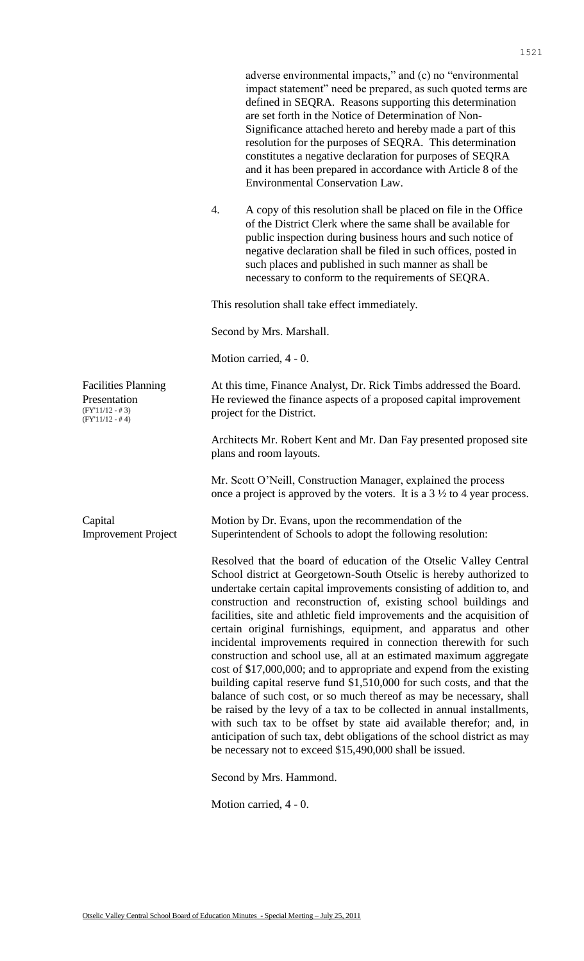adverse environmental impacts," and (c) no "environmental impact statement" need be prepared, as such quoted terms are defined in SEQRA. Reasons supporting this determination are set forth in the Notice of Determination of Non-Significance attached hereto and hereby made a part of this resolution for the purposes of SEQRA. This determination constitutes a negative declaration for purposes of SEQRA and it has been prepared in accordance with Article 8 of the Environmental Conservation Law. 4. A copy of this resolution shall be placed on file in the Office of the District Clerk where the same shall be available for public inspection during business hours and such notice of negative declaration shall be filed in such offices, posted in such places and published in such manner as shall be necessary to conform to the requirements of SEQRA. This resolution shall take effect immediately. Second by Mrs. Marshall. Motion carried, 4 - 0. Facilities Planning Presentation (FY'11/12 - # 3) (FY'11/12 - # 4) At this time, Finance Analyst, Dr. Rick Timbs addressed the Board. He reviewed the finance aspects of a proposed capital improvement project for the District. Architects Mr. Robert Kent and Mr. Dan Fay presented proposed site plans and room layouts. Mr. Scott O'Neill, Construction Manager, explained the process once a project is approved by the voters. It is a 3 ½ to 4 year process. Capital Improvement Project Motion by Dr. Evans, upon the recommendation of the Superintendent of Schools to adopt the following resolution: Resolved that the board of education of the Otselic Valley Central School district at Georgetown-South Otselic is hereby authorized to undertake certain capital improvements consisting of addition to, and construction and reconstruction of, existing school buildings and facilities, site and athletic field improvements and the acquisition of certain original furnishings, equipment, and apparatus and other incidental improvements required in connection therewith for such construction and school use, all at an estimated maximum aggregate cost of \$17,000,000; and to appropriate and expend from the existing building capital reserve fund \$1,510,000 for such costs, and that the balance of such cost, or so much thereof as may be necessary, shall be raised by the levy of a tax to be collected in annual installments, with such tax to be offset by state aid available therefor; and, in anticipation of such tax, debt obligations of the school district as may be necessary not to exceed \$15,490,000 shall be issued. Second by Mrs. Hammond.

Motion carried, 4 - 0.